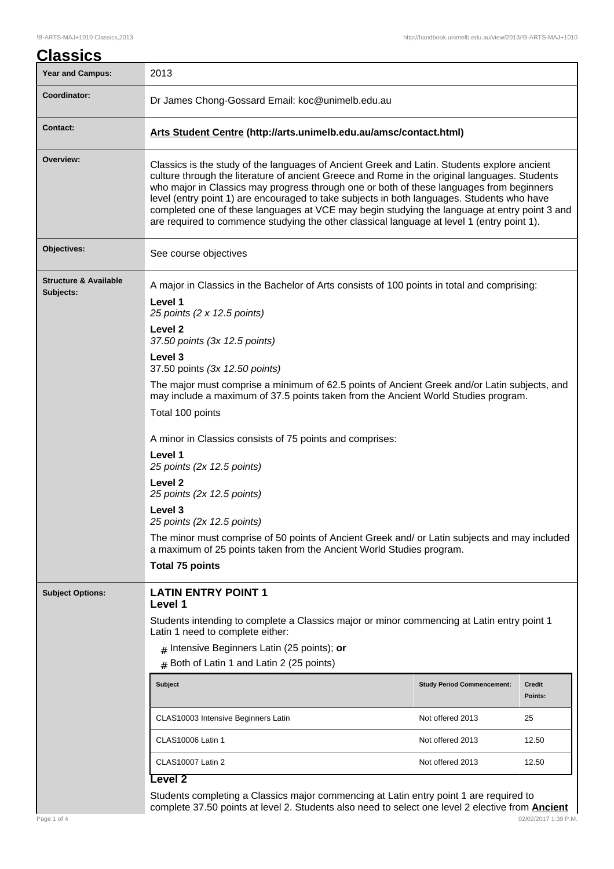| <b>Year and Campus:</b>                       | 2013                                                                                                                                                                                                                                                                                                                                                                                                                                                                                                                                                                                 |                                   |                          |  |
|-----------------------------------------------|--------------------------------------------------------------------------------------------------------------------------------------------------------------------------------------------------------------------------------------------------------------------------------------------------------------------------------------------------------------------------------------------------------------------------------------------------------------------------------------------------------------------------------------------------------------------------------------|-----------------------------------|--------------------------|--|
| Coordinator:                                  | Dr James Chong-Gossard Email: koc@unimelb.edu.au                                                                                                                                                                                                                                                                                                                                                                                                                                                                                                                                     |                                   |                          |  |
| <b>Contact:</b>                               | Arts Student Centre (http://arts.unimelb.edu.au/amsc/contact.html)                                                                                                                                                                                                                                                                                                                                                                                                                                                                                                                   |                                   |                          |  |
| Overview:                                     | Classics is the study of the languages of Ancient Greek and Latin. Students explore ancient<br>culture through the literature of ancient Greece and Rome in the original languages. Students<br>who major in Classics may progress through one or both of these languages from beginners<br>level (entry point 1) are encouraged to take subjects in both languages. Students who have<br>completed one of these languages at VCE may begin studying the language at entry point 3 and<br>are required to commence studying the other classical language at level 1 (entry point 1). |                                   |                          |  |
| Objectives:                                   | See course objectives                                                                                                                                                                                                                                                                                                                                                                                                                                                                                                                                                                |                                   |                          |  |
| <b>Structure &amp; Available</b><br>Subjects: | A major in Classics in the Bachelor of Arts consists of 100 points in total and comprising:<br>Level 1<br>25 points (2 x 12.5 points)<br>Level 2                                                                                                                                                                                                                                                                                                                                                                                                                                     |                                   |                          |  |
|                                               | 37.50 points (3x 12.5 points)<br>Level 3                                                                                                                                                                                                                                                                                                                                                                                                                                                                                                                                             |                                   |                          |  |
|                                               | 37.50 points (3x 12.50 points)<br>The major must comprise a minimum of 62.5 points of Ancient Greek and/or Latin subjects, and<br>may include a maximum of 37.5 points taken from the Ancient World Studies program.                                                                                                                                                                                                                                                                                                                                                                 |                                   |                          |  |
|                                               | Total 100 points                                                                                                                                                                                                                                                                                                                                                                                                                                                                                                                                                                     |                                   |                          |  |
|                                               | A minor in Classics consists of 75 points and comprises:                                                                                                                                                                                                                                                                                                                                                                                                                                                                                                                             |                                   |                          |  |
|                                               | Level 1<br>25 points (2x 12.5 points)                                                                                                                                                                                                                                                                                                                                                                                                                                                                                                                                                |                                   |                          |  |
|                                               | Level <sub>2</sub><br>25 points (2x 12.5 points)                                                                                                                                                                                                                                                                                                                                                                                                                                                                                                                                     |                                   |                          |  |
|                                               | Level 3<br>25 points (2x 12.5 points)                                                                                                                                                                                                                                                                                                                                                                                                                                                                                                                                                |                                   |                          |  |
|                                               | The minor must comprise of 50 points of Ancient Greek and/ or Latin subjects and may included<br>a maximum of 25 points taken from the Ancient World Studies program.                                                                                                                                                                                                                                                                                                                                                                                                                |                                   |                          |  |
|                                               | <b>Total 75 points</b>                                                                                                                                                                                                                                                                                                                                                                                                                                                                                                                                                               |                                   |                          |  |
| <b>Subject Options:</b>                       | <b>LATIN ENTRY POINT 1</b><br>Level 1                                                                                                                                                                                                                                                                                                                                                                                                                                                                                                                                                |                                   |                          |  |
|                                               | Students intending to complete a Classics major or minor commencing at Latin entry point 1<br>Latin 1 need to complete either:                                                                                                                                                                                                                                                                                                                                                                                                                                                       |                                   |                          |  |
|                                               | $#$ Intensive Beginners Latin (25 points); or                                                                                                                                                                                                                                                                                                                                                                                                                                                                                                                                        |                                   |                          |  |
|                                               | Both of Latin 1 and Latin 2 (25 points)<br>$\#$                                                                                                                                                                                                                                                                                                                                                                                                                                                                                                                                      |                                   |                          |  |
|                                               | <b>Subject</b>                                                                                                                                                                                                                                                                                                                                                                                                                                                                                                                                                                       | <b>Study Period Commencement:</b> | <b>Credit</b><br>Points: |  |
|                                               | CLAS10003 Intensive Beginners Latin                                                                                                                                                                                                                                                                                                                                                                                                                                                                                                                                                  | Not offered 2013                  | 25                       |  |
|                                               | <b>CLAS10006 Latin 1</b>                                                                                                                                                                                                                                                                                                                                                                                                                                                                                                                                                             | Not offered 2013                  | 12.50                    |  |
|                                               | CLAS10007 Latin 2                                                                                                                                                                                                                                                                                                                                                                                                                                                                                                                                                                    |                                   |                          |  |

Page 1 of 4 02/02/2017 1:39 P.M. complete 37.50 points at level 2. Students also need to select one level 2 elective from **Ancient**

 $\mathbf{l}$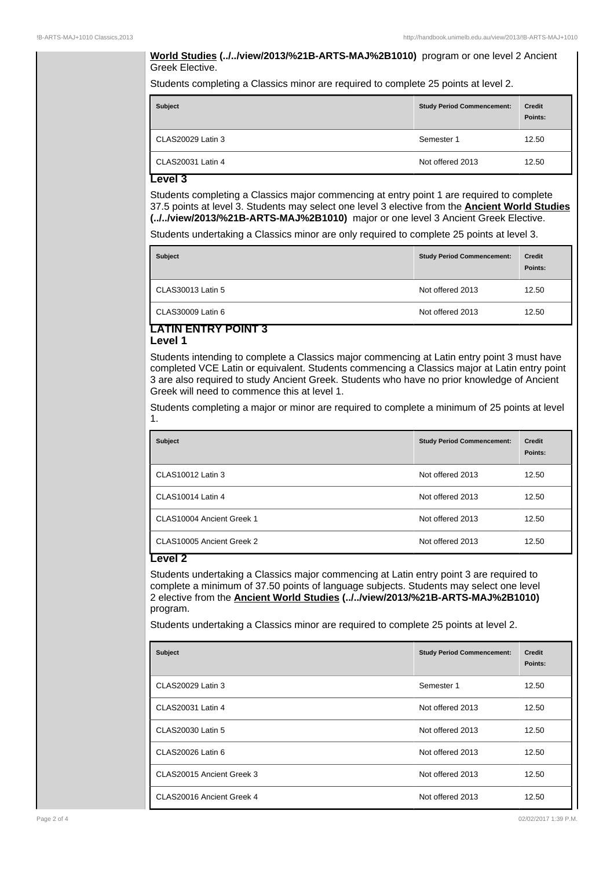#### **World Studies (../../view/2013/%21B-ARTS-MAJ%2B1010)** program or one level 2 Ancient Greek Elective.

Students completing a Classics minor are required to complete 25 points at level 2.

| <b>Subject</b>    | <b>Study Period Commencement:</b> | Credit<br>Points: |
|-------------------|-----------------------------------|-------------------|
| CLAS20029 Latin 3 | Semester 1                        | 12.50             |
| CLAS20031 Latin 4 | Not offered 2013                  | 12.50             |

### **Level 3**

Students completing a Classics major commencing at entry point 1 are required to complete 37.5 points at level 3. Students may select one level 3 elective from the **Ancient World Studies (../../view/2013/%21B-ARTS-MAJ%2B1010)** major or one level 3 Ancient Greek Elective.

Students undertaking a Classics minor are only required to complete 25 points at level 3.

| <b>Subject</b>    | <b>Study Period Commencement:</b> | <b>Credit</b><br>Points: |
|-------------------|-----------------------------------|--------------------------|
| CLAS30013 Latin 5 | Not offered 2013                  | 12.50                    |
| CLAS30009 Latin 6 | Not offered 2013                  | 12.50                    |

#### **LATIN ENTRY POINT 3 Level 1**

Students intending to complete a Classics major commencing at Latin entry point 3 must have completed VCE Latin or equivalent. Students commencing a Classics major at Latin entry point 3 are also required to study Ancient Greek. Students who have no prior knowledge of Ancient Greek will need to commence this at level 1.

Students completing a major or minor are required to complete a minimum of 25 points at level 1.

| <b>Subject</b>            | <b>Study Period Commencement:</b> | Credit<br>Points: |
|---------------------------|-----------------------------------|-------------------|
| CLAS10012 Latin 3         | Not offered 2013                  | 12.50             |
| CLAS10014 Latin 4         | Not offered 2013                  | 12.50             |
| CLAS10004 Ancient Greek 1 | Not offered 2013                  | 12.50             |
| CLAS10005 Ancient Greek 2 | Not offered 2013                  | 12.50             |

## **Level 2**

Students undertaking a Classics major commencing at Latin entry point 3 are required to complete a minimum of 37.50 points of language subjects. Students may select one level 2 elective from the **Ancient World Studies (../../view/2013/%21B-ARTS-MAJ%2B1010)**  program.

Students undertaking a Classics minor are required to complete 25 points at level 2.

| <b>Subject</b>            | <b>Study Period Commencement:</b> | <b>Credit</b><br>Points: |
|---------------------------|-----------------------------------|--------------------------|
| CLAS20029 Latin 3         | Semester 1                        | 12.50                    |
| CLAS20031 Latin 4         | Not offered 2013                  | 12.50                    |
| CLAS20030 Latin 5         | Not offered 2013                  | 12.50                    |
| CLAS20026 Latin 6         | Not offered 2013                  | 12.50                    |
| CLAS20015 Ancient Greek 3 | Not offered 2013                  | 12.50                    |
| CLAS20016 Ancient Greek 4 | Not offered 2013                  | 12.50                    |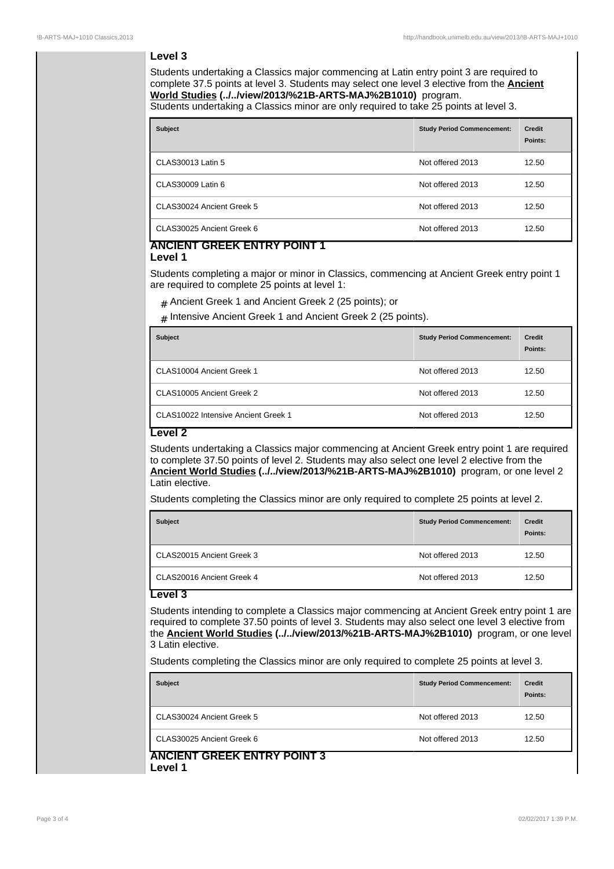# **Level 3**

Students undertaking a Classics major commencing at Latin entry point 3 are required to complete 37.5 points at level 3. Students may select one level 3 elective from the **Ancient World Studies (../../view/2013/%21B-ARTS-MAJ%2B1010)** program.

Students undertaking a Classics minor are only required to take 25 points at level 3.

| <b>Subject</b>            | <b>Study Period Commencement:</b> | Credit<br>Points: |
|---------------------------|-----------------------------------|-------------------|
| CLAS30013 Latin 5         | Not offered 2013                  | 12.50             |
| CLAS30009 Latin 6         | Not offered 2013                  | 12.50             |
| CLAS30024 Ancient Greek 5 | Not offered 2013                  | 12.50             |
| CLAS30025 Ancient Greek 6 | Not offered 2013                  | 12.50             |

## **ANCIENT GREEK ENTRY POINT 1 Level 1**

Students completing a major or minor in Classics, commencing at Ancient Greek entry point 1 are required to complete 25 points at level 1:

# Ancient Greek 1 and Ancient Greek 2 (25 points); or

 ${}_{\#}$  Intensive Ancient Greek 1 and Ancient Greek 2 (25 points).

| <b>Subject</b>                      | <b>Study Period Commencement:</b> | <b>Credit</b><br>Points: |
|-------------------------------------|-----------------------------------|--------------------------|
| CLAS10004 Ancient Greek 1           | Not offered 2013                  | 12.50                    |
| CLAS10005 Ancient Greek 2           | Not offered 2013                  | 12.50                    |
| CLAS10022 Intensive Ancient Greek 1 | Not offered 2013                  | 12.50                    |

### **Level 2**

Students undertaking a Classics major commencing at Ancient Greek entry point 1 are required to complete 37.50 points of level 2. Students may also select one level 2 elective from the **Ancient World Studies (../../view/2013/%21B-ARTS-MAJ%2B1010)** program, or one level 2 Latin elective.

Students completing the Classics minor are only required to complete 25 points at level 2.

| <b>Subject</b>            | <b>Study Period Commencement:</b> | <b>Credit</b><br>Points: |
|---------------------------|-----------------------------------|--------------------------|
| CLAS20015 Ancient Greek 3 | Not offered 2013                  | 12.50                    |
| CLAS20016 Ancient Greek 4 | Not offered 2013                  | 12.50                    |

# **Level 3**

Students intending to complete a Classics major commencing at Ancient Greek entry point 1 are required to complete 37.50 points of level 3. Students may also select one level 3 elective from the **Ancient World Studies (../../view/2013/%21B-ARTS-MAJ%2B1010)** program, or one level 3 Latin elective.

Students completing the Classics minor are only required to complete 25 points at level 3.

| <b>Subject</b>                   | <b>Study Period Commencement:</b> | Credit<br>Points: |
|----------------------------------|-----------------------------------|-------------------|
| CLAS30024 Ancient Greek 5        | Not offered 2013                  | 12.50             |
| CLAS30025 Ancient Greek 6        | Not offered 2013                  | 12.50             |
| ANCIENT GREEK ENTRY POINT 3<br>. |                                   |                   |

**Level 1**